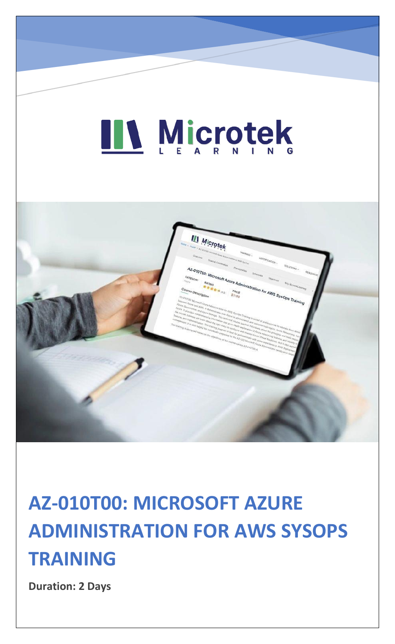# LL Microtek



### **AZ-010T00: MICROSOFT AZURE ADMINISTRATION FOR AWS SYSOPS TRAINING**

**Duration: 2 Days**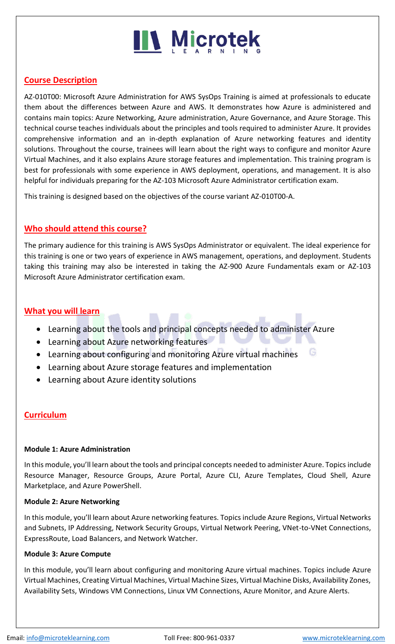## **IIV Microtek**

#### **Course Description**

AZ-010T00: Microsoft Azure Administration for AWS SysOps Training is aimed at professionals to educate them about the differences between Azure and AWS. It demonstrates how Azure is administered and contains main topics: Azure Networking, Azure administration, Azure Governance, and Azure Storage. This technical course teaches individuals about the principles and tools required to administer Azure. It provides comprehensive information and an in-depth explanation of Azure networking features and identity solutions. Throughout the course, trainees will learn about the right ways to configure and monitor Azure Virtual Machines, and it also explains Azure storage features and implementation. This training program is best for professionals with some experience in AWS deployment, operations, and management. It is also helpful for individuals preparing for the AZ-103 Microsoft Azure Administrator certification exam.

This training is designed based on the objectives of the course variant AZ-010T00-A.

#### **Who should attend this course?**

The primary audience for this training is AWS SysOps Administrator or equivalent. The ideal experience for this training is one or two years of experience in AWS management, operations, and deployment. Students taking this training may also be interested in taking the AZ-900 Azure Fundamentals exam or AZ-103 Microsoft Azure Administrator certification exam.

#### **What you will learn**

- Learning about the tools and principal concepts needed to administer Azure
- Learning about Azure networking features
- G • Learning about configuring and monitoring Azure virtual machines
- Learning about Azure storage features and implementation
- Learning about Azure identity solutions

#### **Curriculum**

#### **Module 1: Azure Administration**

In this module, you'll learn about the tools and principal concepts needed to administer Azure. Topics include Resource Manager, Resource Groups, Azure Portal, Azure CLI, Azure Templates, Cloud Shell, Azure Marketplace, and Azure PowerShell.

#### **Module 2: Azure Networking**

In this module, you'll learn about Azure networking features. Topics include Azure Regions, Virtual Networks and Subnets, IP Addressing, Network Security Groups, Virtual Network Peering, VNet-to-VNet Connections, ExpressRoute, Load Balancers, and Network Watcher.

#### **Module 3: Azure Compute**

In this module, you'll learn about configuring and monitoring Azure virtual machines. Topics include Azure Virtual Machines, Creating Virtual Machines, Virtual Machine Sizes, Virtual Machine Disks, Availability Zones, Availability Sets, Windows VM Connections, Linux VM Connections, Azure Monitor, and Azure Alerts.